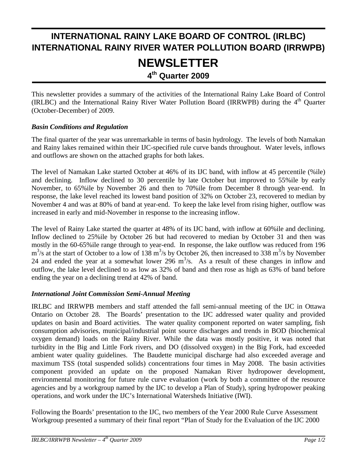# **INTERNATIONAL RAINY LAKE BOARD OF CONTROL (IRLBC) INTERNATIONAL RAINY RIVER WATER POLLUTION BOARD (IRRWPB) NEWSLETTER 4th Quarter 2009**

This newsletter provides a summary of the activities of the International Rainy Lake Board of Control (IRLBC) and the International Rainy River Water Pollution Board (IRRWPB) during the 4<sup>th</sup> Quarter (October-December) of 2009.

### *Basin Conditions and Regulation*

The final quarter of the year was unremarkable in terms of basin hydrology. The levels of both Namakan and Rainy lakes remained within their IJC-specified rule curve bands throughout. Water levels, inflows and outflows are shown on the attached graphs for both lakes.

The level of Namakan Lake started October at 46% of its IJC band, with inflow at 45 percentile (%ile) and declining. Inflow declined to 30 percentile by late October but improved to 55%ile by early November, to 65%ile by November 26 and then to 70%ile from December 8 through year-end. In response, the lake level reached its lowest band position of 32% on October 23, recovered to median by November 4 and was at 80% of band at year-end. To keep the lake level from rising higher, outflow was increased in early and mid-November in response to the increasing inflow.

The level of Rainy Lake started the quarter at 48% of its IJC band, with inflow at 60%ile and declining. Inflow declined to 25%ile by October 26 but had recovered to median by October 31 and then was mostly in the 60-65%ile range through to year-end. In response, the lake outflow was reduced from 196  $\text{m}^3$ /s at the start of October to a low of 138 m<sup>3</sup>/s by October 26, then increased to 338 m<sup>3</sup>/s by November 24 and ended the year at a somewhat lower 296  $m^3/s$ . As a result of these changes in inflow and outflow, the lake level declined to as low as 32% of band and then rose as high as 63% of band before ending the year on a declining trend at 42% of band.

### *International Joint Commission Semi-Annual Meeting*

IRLBC and IRRWPB members and staff attended the fall semi-annual meeting of the IJC in Ottawa Ontario on October 28. The Boards' presentation to the IJC addressed water quality and provided updates on basin and Board activities. The water quality component reported on water sampling, fish consumption advisories, municipal/industrial point source discharges and trends in BOD (biochemical oxygen demand) loads on the Rainy River. While the data was mostly positive, it was noted that turbidity in the Big and Little Fork rivers, and DO (dissolved oxygen) in the Big Fork, had exceeded ambient water quality guidelines. The Baudette municipal discharge had also exceeded average and maximum TSS (total suspended solids) concentrations four times in May 2008. The basin activities component provided an update on the proposed Namakan River hydropower development, environmental monitoring for future rule curve evaluation (work by both a committee of the resource agencies and by a workgroup named by the IJC to develop a Plan of Study), spring hydropower peaking operations, and work under the IJC's International Watersheds Initiative (IWI).

Following the Boards' presentation to the IJC, two members of the Year 2000 Rule Curve Assessment Workgroup presented a summary of their final report "Plan of Study for the Evaluation of the IJC 2000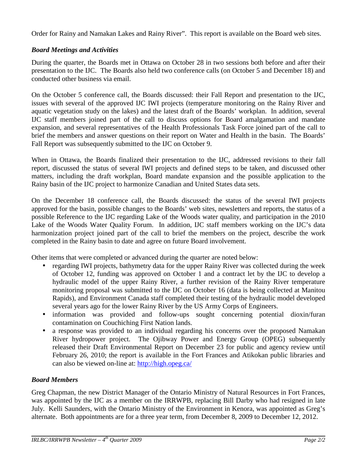Order for Rainy and Namakan Lakes and Rainy River". This report is available on the Board web sites.

## *Board Meetings and Activities*

During the quarter, the Boards met in Ottawa on October 28 in two sessions both before and after their presentation to the IJC. The Boards also held two conference calls (on October 5 and December 18) and conducted other business via email.

On the October 5 conference call, the Boards discussed: their Fall Report and presentation to the IJC, issues with several of the approved IJC IWI projects (temperature monitoring on the Rainy River and aquatic vegetation study on the lakes) and the latest draft of the Boards' workplan. In addition, several IJC staff members joined part of the call to discuss options for Board amalgamation and mandate expansion, and several representatives of the Health Professionals Task Force joined part of the call to brief the members and answer questions on their report on Water and Health in the basin. The Boards' Fall Report was subsequently submitted to the IJC on October 9.

When in Ottawa, the Boards finalized their presentation to the IJC, addressed revisions to their fall report, discussed the status of several IWI projects and defined steps to be taken, and discussed other matters, including the draft workplan, Board mandate expansion and the possible application to the Rainy basin of the IJC project to harmonize Canadian and United States data sets.

On the December 18 conference call, the Boards discussed: the status of the several IWI projects approved for the basin, possible changes to the Boards' web sites, newsletters and reports, the status of a possible Reference to the IJC regarding Lake of the Woods water quality, and participation in the 2010 Lake of the Woods Water Quality Forum. In addition, IJC staff members working on the IJC's data harmonization project joined part of the call to brief the members on the project, describe the work completed in the Rainy basin to date and agree on future Board involvement.

Other items that were completed or advanced during the quarter are noted below:

- regarding IWI projects, bathymetry data for the upper Rainy River was collected during the week of October 12, funding was approved on October 1 and a contract let by the IJC to develop a hydraulic model of the upper Rainy River, a further revision of the Rainy River temperature monitoring proposal was submitted to the IJC on October 16 (data is being collected at Manitou Rapids), and Environment Canada staff completed their testing of the hydraulic model developed several years ago for the lower Rainy River by the US Army Corps of Engineers.
- information was provided and follow-ups sought concerning potential dioxin/furan contamination on Couchiching First Nation lands.
- a response was provided to an individual regarding his concerns over the proposed Namakan River hydropower project. The Ojibway Power and Energy Group (OPEG) subsequently released their Draft Environmental Report on December 23 for public and agency review until February 26, 2010; the report is available in the Fort Frances and Atikokan public libraries and can also be viewed on-line at: http://high.opeg.ca/

### *Board Members*

Greg Chapman, the new District Manager of the Ontario Ministry of Natural Resources in Fort Frances, was appointed by the IJC as a member on the IRRWPB, replacing Bill Darby who had resigned in late July. Kelli Saunders, with the Ontario Ministry of the Environment in Kenora, was appointed as Greg's alternate. Both appointments are for a three year term, from December 8, 2009 to December 12, 2012.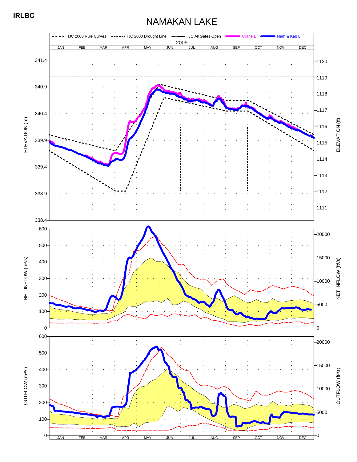# NAMAKAN LAKE